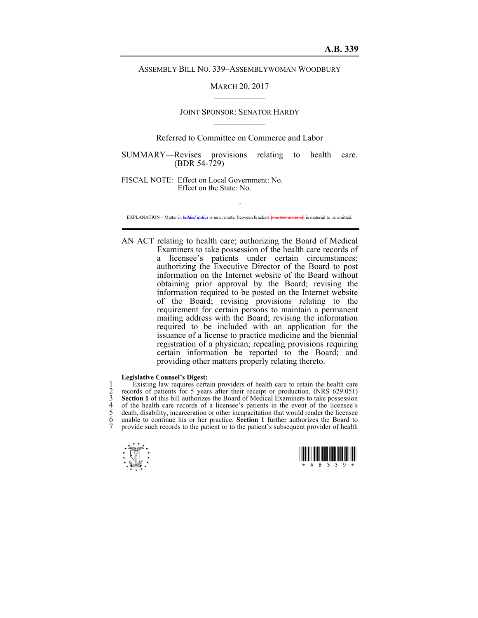ASSEMBLY BILL NO. 339–ASSEMBLYWOMAN WOODBURY

MARCH 20, 2017  $\mathcal{L}_\text{max}$ 

# JOINT SPONSOR: SENATOR HARDY  $\mathcal{L}_\text{max}$

# Referred to Committee on Commerce and Labor

SUMMARY—Revises provisions relating to health care. (BDR 54-729)

FISCAL NOTE: Effect on Local Government: No. Effect on the State: No.

~ EXPLANATION – Matter in *bolded italics* is new; matter between brackets **[**omitted material**]** is material to be omitted.

AN ACT relating to health care; authorizing the Board of Medical Examiners to take possession of the health care records of a licensee's patients under certain circumstances; authorizing the Executive Director of the Board to post information on the Internet website of the Board without obtaining prior approval by the Board; revising the information required to be posted on the Internet website of the Board; revising provisions relating to the requirement for certain persons to maintain a permanent mailing address with the Board; revising the information required to be included with an application for the issuance of a license to practice medicine and the biennial registration of a physician; repealing provisions requiring certain information be reported to the Board; and providing other matters properly relating thereto.

### **Legislative Counsel's Digest:**

Existing law requires certain providers of health care to retain the health care<br>
cerords of patients for 5 years after their receipt or production. (NRS 629.051)<br> **Section 1** of this bill authorizes the Board of Medical E records of patients for 5 years after their receipt or production. (NRS 629.051) Section 1 of this bill authorizes the Board of Medical Examiners to take possession 4 of the health care records of a licensee's patients in the event of the licensee's 5 death, disability, incarceration or other incapacitation that would render the licensee 6 unable to continue his or her practice. **Section 1** further authorizes the Board to provide such records to the patient or to the patient's subsequent provider of health



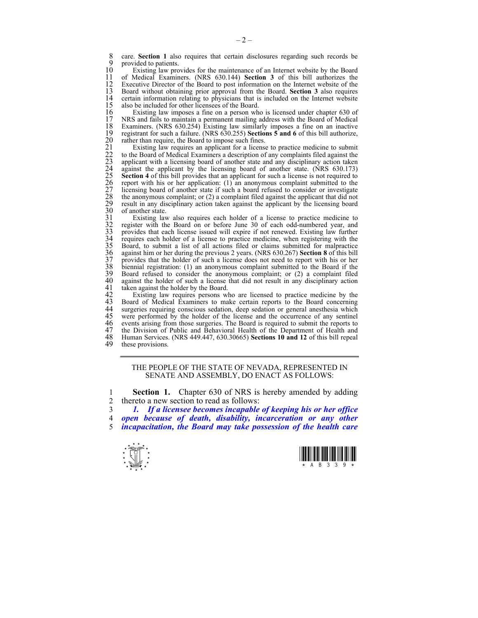8 care. **Section 1** also requires that certain disclosures regarding such records be provided to patients 9 provided to patients.<br>10 Existing law pro

10 Existing law provides for the maintenance of an Internet website by the Board<br>11 of Medical Examiners (NRS 630.144) Section 3 of this bill authorizes the 11 of Medical Examiners. (NRS 630.144) **Section 3** of this bill authorizes the 12 Executive Director of the Board to post information on the Internet website of the 13 Board without obtaining prior approval from the Board. Section 3 also requires 13 Board without obtaining prior approval from the Board. **Section 3** also requires 14 certain information relating to physicians that is included on the Internet website 15 also be included for other licensees of the Board. 15 also be included for other licensees of the Board.<br>16 Existing law imposes a fine on a person wh

16 Existing law imposes a fine on a person who is licensed under chapter 630 of 17 NRS and fails to maintain a permanent mailing address with the Board of Medical 18 Examiners. (NRS 630.254) Existing law similarly imposes a fine on an inactive registrant for such a failure. (NRS 630.255) Sections 5 and 6 of this bill authorize. 19 registrant for such a failure. (NRS 630.255) **Sections 5 and 6** of this bill authorize,

20 rather than require, the Board to impose such fines.<br>
21 Existing law requires an applicant for a license<br>
22 to the Board of Medical Examiners a description of<br>
25 applicant with a licensing board of another state a<br>
2 Existing law requires an applicant for a license to practice medicine to submit to the Board of Medical Examiners a description of any complaints filed against the applicant with a licensing board of another state and any disciplinary action taken against the applicant by the licensing board of another state. (NRS 630.173) **Section 4** of this bill provides that an applicant for such a license is not required to report with his or her application:  $(1)$  an anonymous complaint submitted to the licensing board of another state if such a board refused to consider or investigate the anonymous complaint; or  $(2)$  a complaint filed against the applicant that did not 29 result in any disciplinary action taken against the applicant by the licensing board

30 of another state.<br>
31 Existing lav<br>
32 register with the<br>
33 provides that ea<br>
35 Board, to subm<br>
35 So against him or h<br>
37 provides that the<br>
38 biennial registra Existing law also requires each holder of a license to practice medicine to 32 register with the Board on or before June 30 of each odd-numbered year, and provides that each license issued will expire if not renewed. Existing law further 34 requires each holder of a license to practice medicine, when registering with the 35 Board, to submit a list of all actions filed or claims submitted for malpractice 36 against him or her during the previous 2 years. (NRS 630.267) **Section 8** of this bill 37 provides that the holder of such a license does not need to report with his or her 38 biennial registration: (1) an anonymous complaint submitted to the Board if the 39 Board refused to consider the anonymous complaint; or (2) a complaint filed 40 against the holder of such a license that did not result in any disciplinary action taken against the holder by the Board. 41 taken against the holder by the Board.<br>42 Existing law requires persons w

42 Existing law requires persons who are licensed to practice medicine by the 43 Board of Medical Examiners to make certain reports to the Board concerning 43 Board of Medical Examiners to make certain reports to the Board concerning 44 surgeries requiring conscious sedation, deep sedation or general anesthesia which 44 surgeries requiring conscious sedation, deep sedation or general anesthesia which<br>45 were performed by the holder of the license and the occurrence of any sentinel 45 were performed by the holder of the license and the occurrence of any sentinel 46 events arising from those surgeries. The Board is required to submit the reports to 46 events arising from those surgeries. The Board is required to submit the reports to 47 the Division of Public and Behavioral Health of the Department of Health and 47 the Division of Public and Behavioral Health of the Department of Health and 48 Human Services. (NRS 449.447, 630.30665) Sections 10 and 12 of this bill repeal 48 Human Services. (NRS 449.447, 630.30665) **Sections 10 and 12** of this bill repeal these provisions.

#### THE PEOPLE OF THE STATE OF NEVADA, REPRESENTED IN SENATE AND ASSEMBLY, DO ENACT AS FOLLOWS:

1 **Section 1.** Chapter 630 of NRS is hereby amended by adding 2 thereto a new section to read as follows:

3 *1. If a licensee becomes incapable of keeping his or her office*  4 *open because of death, disability, incarceration or any other*  5 *incapacitation, the Board may take possession of the health care* 



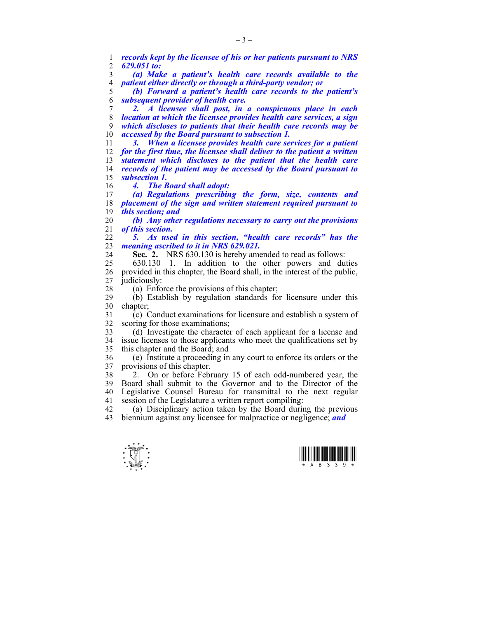1 *records kept by the licensee of his or her patients pursuant to NRS*  2 *629.051 to:* 

3 *(a) Make a patient's health care records available to the*  4 *patient either directly or through a third-party vendor; or* 

5 *(b) Forward a patient's health care records to the patient's*  6 *subsequent provider of health care.* 

*2. A licensee shall post, in a conspicuous place in each location at which the licensee provides health care services, a sign which discloses to patients that their health care records may be accessed by the Board pursuant to subsection 1.* 

*3. When a licensee provides health care services for a patient for the first time, the licensee shall deliver to the patient a written statement which discloses to the patient that the health care records of the patient may be accessed by the Board pursuant to subsection 1.* 

16 *4. The Board shall adopt:* 

17 *(a) Regulations prescribing the form, size, contents and*  18 *placement of the sign and written statement required pursuant to*  19 *this section; and* 

20 *(b) Any other regulations necessary to carry out the provisions*  21 *of this section.* 

22 *5. As used in this section, "health care records" has the*  23 *meaning ascribed to it in NRS 629.021.* 

24 **Sec. 2.** NRS 630.130 is hereby amended to read as follows:

25 630.130 1. In addition to the other powers and duties 26 provided in this chapter, the Board shall, in the interest of the public, 27 judiciously:

28 (a) Enforce the provisions of this chapter;

29 (b) Establish by regulation standards for licensure under this 30 chapter;

31 (c) Conduct examinations for licensure and establish a system of 32 scoring for those examinations;

33 (d) Investigate the character of each applicant for a license and 34 issue licenses to those applicants who meet the qualifications set by 35 this chapter and the Board; and

36 (e) Institute a proceeding in any court to enforce its orders or the 37 provisions of this chapter.

38 2. On or before February 15 of each odd-numbered year, the 39 Board shall submit to the Governor and to the Director of the 40 Legislative Counsel Bureau for transmittal to the next regular 41 session of the Legislature a written report compiling:

42 (a) Disciplinary action taken by the Board during the previous 43 biennium against any licensee for malpractice or negligence; *and*



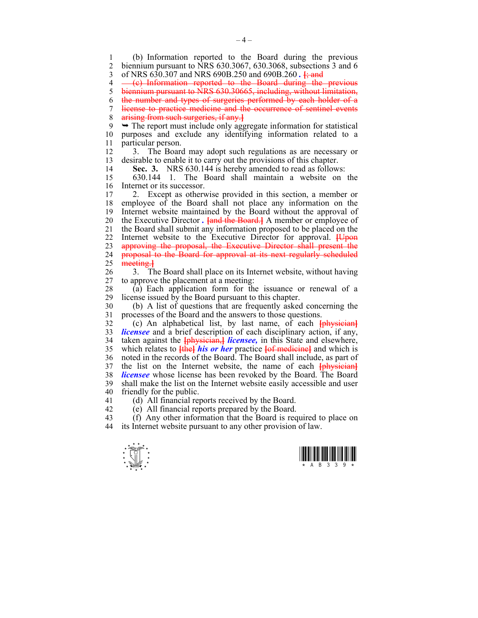1 (b) Information reported to the Board during the previous 2 biennium pursuant to NRS 630.3067, 630.3068, subsections 3 and 6 3 of NRS 630.307 and NRS 690B.250 and 690B.260 *.* **[**; and

4 (e) Information reported to the Board during the previous

5 biennium pursuant to NRS 630.30665, including, without limitation,

6 the number and types of surgeries performed by each holder of a

7 license to practice medicine and the occurrence of sentinel events 8 arising from such surgeries, if any.**]**

 $9 \rightarrow$  The report must include only aggregate information for statistical 10 purposes and exclude any identifying information related to a 11 particular person.

12 3. The Board may adopt such regulations as are necessary or 13 desirable to enable it to carry out the provisions of this chapter.

14 **Sec. 3.** NRS 630.144 is hereby amended to read as follows:

15 630.144 1. The Board shall maintain a website on the 16 Internet or its successor.

17 2. Except as otherwise provided in this section, a member or 18 employee of the Board shall not place any information on the 19 Internet website maintained by the Board without the approval of 20 the Executive Director *.* **[**and the Board.**]** A member or employee of 21 the Board shall submit any information proposed to be placed on the 22 Internet website to the Executive Director for approval. **[**Upon 23 approving the proposal, the Executive Director shall present the 24 proposal to the Board for approval at its next regularly scheduled 25 meeting.**]**

26 3. The Board shall place on its Internet website, without having 27 to approve the placement at a meeting:

28 (a) Each application form for the issuance or renewal of a 29 license issued by the Board pursuant to this chapter.

30 (b) A list of questions that are frequently asked concerning the 31 processes of the Board and the answers to those questions.

32 (c) An alphabetical list, by last name, of each **[**physician**]** 33 *licensee* and a brief description of each disciplinary action, if any, 34 taken against the **[**physician,**]** *licensee,* in this State and elsewhere, 35 which relates to **[**the**]** *his or her* practice **[**of medicine**]** and which is 36 noted in the records of the Board. The Board shall include, as part of 37 the list on the Internet website, the name of each **[**physician**]** 38 *licensee* whose license has been revoked by the Board. The Board 39 shall make the list on the Internet website easily accessible and user 40 friendly for the public.

41 (d) All financial reports received by the Board.

42 (e) All financial reports prepared by the Board.

43 (f) Any other information that the Board is required to place on 44 its Internet website pursuant to any other provision of law.

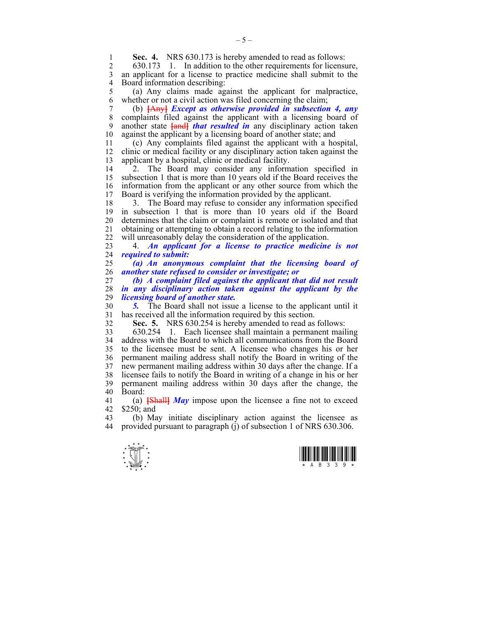**Sec. 4.** NRS 630.173 is hereby amended to read as follows:<br>2 630.173 1 In addition to the other requirements for license

2 630.173 1. In addition to the other requirements for licensure, 3 an applicant for a license to practice medicine shall submit to the 4 Board information describing:

5 (a) Any claims made against the applicant for malpractice, 6 whether or not a civil action was filed concerning the claim;

7 (b) **[**Any**]** *Except as otherwise provided in subsection 4, any*  8 complaints filed against the applicant with a licensing board of 9 another state **[**and**]** *that resulted in* any disciplinary action taken 10 against the applicant by a licensing board of another state; and

11 (c) Any complaints filed against the applicant with a hospital, 12 clinic or medical facility or any disciplinary action taken against the 13 applicant by a hospital, clinic or medical facility.

14 <sup>2</sup>2. The Board may consider any information specified in 15 subsection 1 that is more than 10 years old if the Board receives the 16 information from the applicant or any other source from which the 17 Board is verifying the information provided by the applicant.

18 3. The Board may refuse to consider any information specified 19 in subsection 1 that is more than 10 years old if the Board 20 determines that the claim or complaint is remote or isolated and that 21 obtaining or attempting to obtain a record relating to the information 22 will unreasonably delay the consideration of the application.

23 4. *An applicant for a license to practice medicine is not*  24 *required to submit:* 

25 *(a) An anonymous complaint that the licensing board of*  26 *another state refused to consider or investigate; or* 

27 *(b) A complaint filed against the applicant that did not result*  28 *in any disciplinary action taken against the applicant by the licensing board of another state.* 

30 *5.* The Board shall not issue a license to the applicant until it 31 has received all the information required by this section.

32 **Sec. 5.** NRS 630.254 is hereby amended to read as follows:

33 630.254 1. Each licensee shall maintain a permanent mailing 34 address with the Board to which all communications from the Board 35 to the licensee must be sent. A licensee who changes his or her 36 permanent mailing address shall notify the Board in writing of the 37 new permanent mailing address within 30 days after the change. If a 38 licensee fails to notify the Board in writing of a change in his or her 39 permanent mailing address within 30 days after the change, the 40 Board:

41 (a) **[**Shall**]** *May* impose upon the licensee a fine not to exceed 42 \$250; and<br>43 (b) Ma

43 (b) May initiate disciplinary action against the licensee as  $44$  provided pursuant to paragraph (i) of subsection 1 of NRS 630 306 provided pursuant to paragraph (j) of subsection 1 of NRS 630.306.



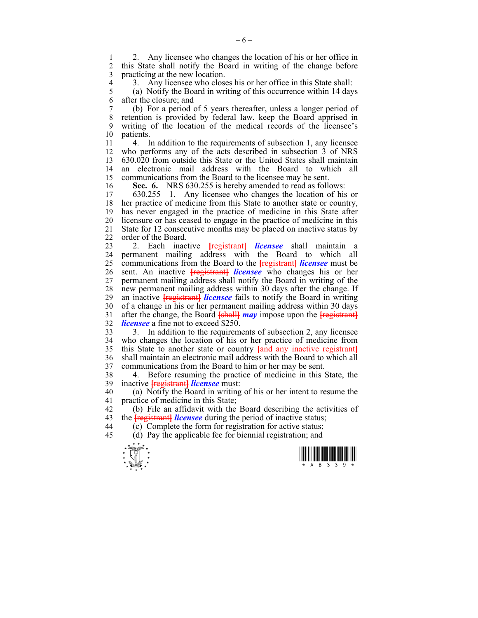2. Any licensee who changes the location of his or her office in<br>2. this State shall notify the Board in writing of the change before 2 this State shall notify the Board in writing of the change before 3 practicing at the new location.

4 3. Any licensee who closes his or her office in this State shall:<br>5 (a) Notify the Board in writing of this occurrence within 14 day

5 (a) Notify the Board in writing of this occurrence within 14 days 6 after the closure; and

7 (b) For a period of 5 years thereafter, unless a longer period of 8 retention is provided by federal law, keep the Board apprised in 9 writing of the location of the medical records of the licensee's 10 patients.

11 4. In addition to the requirements of subsection 1, any licensee 12 who performs any of the acts described in subsection 3 of NRS 13 630.020 from outside this State or the United States shall maintain 14 an electronic mail address with the Board to which all 15 communications from the Board to the licensee may be sent.

**Sec. 6.** NRS 630.255 is hereby amended to read as follows:<br>17 630.255 1 Any licensee who changes the location of his

17 630.255 1. Any licensee who changes the location of his or 18 her practice of medicine from this State to another state or country, 19 has never engaged in the practice of medicine in this State after 20 licensure or has ceased to engage in the practice of medicine in this 21 State for 12 consecutive months may be placed on inactive status by 22 order of the Board.

23 2. Each inactive **[**registrant**]** *licensee* shall maintain a 24 permanent mailing address with the Board to which all 25 communications from the Board to the **[**registrant**]** *licensee* must be 26 sent. An inactive **[**registrant**]** *licensee* who changes his or her 27 permanent mailing address shall notify the Board in writing of the 28 new permanent mailing address within 30 days after the change. If 29 an inactive **[**registrant**]** *licensee* fails to notify the Board in writing 30 of a change in his or her permanent mailing address within 30 days 31 after the change, the Board **[**shall**]** *may* impose upon the **[**registrant**]** 32 *licensee* a fine not to exceed \$250.

33 3. In addition to the requirements of subsection 2, any licensee 34 who changes the location of his or her practice of medicine from 35 this State to another state or country **[**and any inactive registrant**]** 36 shall maintain an electronic mail address with the Board to which all 37 communications from the Board to him or her may be sent.

38 4. Before resuming the practice of medicine in this State, the 39 inactive **[**registrant**]** *licensee* must:

40 (a) Notify the Board in writing of his or her intent to resume the 41 practice of medicine in this State;

42 (b) File an affidavit with the Board describing the activities of 43 the **[**registrant**]** *licensee* during the period of inactive status;

44 (c) Complete the form for registration for active status;

45 (d) Pay the applicable fee for biennial registration; and



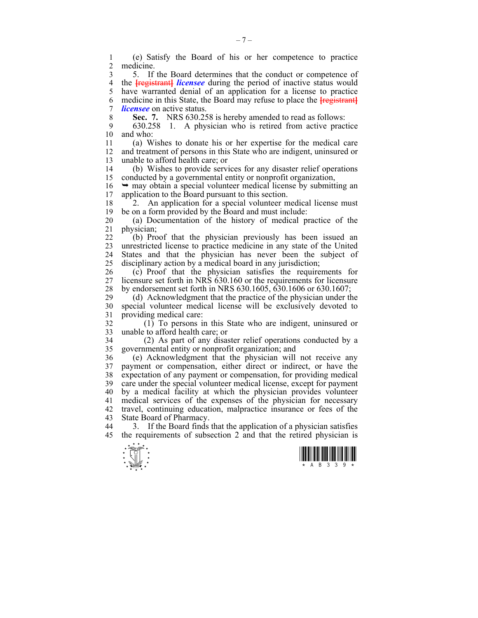1 (e) Satisfy the Board of his or her competence to practice medicine.

3 5. If the Board determines that the conduct or competence of 4 the **[**registrant**]** *licensee* during the period of inactive status would 5 have warranted denial of an application for a license to practice 6 medicine in this State, the Board may refuse to place the **[**registrant**]** 7 *licensee* on active status.

8 **Sec. 7.** NRS 630.258 is hereby amended to read as follows:

9 630.258 1. A physician who is retired from active practice and who:

11 (a) Wishes to donate his or her expertise for the medical care 12 and treatment of persons in this State who are indigent, uninsured or 13 unable to afford health care; or

14 (b) Wishes to provide services for any disaster relief operations 15 conducted by a governmental entity or nonprofit organization,

 $16 \rightarrow$  may obtain a special volunteer medical license by submitting an 17 application to the Board pursuant to this section.

18 2. An application for a special volunteer medical license must 19 be on a form provided by the Board and must include:

20 (a) Documentation of the history of medical practice of the 21 physician;

22 (b) Proof that the physician previously has been issued an 23 unrestricted license to practice medicine in any state of the United 24 States and that the physician has never been the subject of 25 disciplinary action by a medical board in any jurisdiction;

26 (c) Proof that the physician satisfies the requirements for 27 licensure set forth in NRS 630.160 or the requirements for licensure 28 by endorsement set forth in NRS 630.1605, 630.1606 or 630.1607;

29 (d) Acknowledgment that the practice of the physician under the 30 special volunteer medical license will be exclusively devoted to 31 providing medical care:

32 (1) To persons in this State who are indigent, uninsured or 33 unable to afford health care; or

34 (2) As part of any disaster relief operations conducted by a 35 governmental entity or nonprofit organization; and

36 (e) Acknowledgment that the physician will not receive any 37 payment or compensation, either direct or indirect, or have the 38 expectation of any payment or compensation, for providing medical 39 care under the special volunteer medical license, except for payment 40 by a medical facility at which the physician provides volunteer 41 medical services of the expenses of the physician for necessary 42 travel, continuing education, malpractice insurance or fees of the 43 State Board of Pharmacy.

44 3. If the Board finds that the application of a physician satisfies 45 the requirements of subsection 2 and that the retired physician is



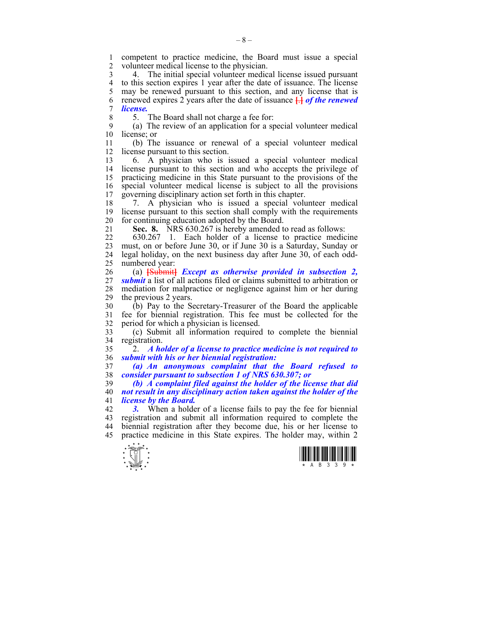1 competent to practice medicine, the Board must issue a special 2 volunteer medical license to the physician.

3 4. The initial special volunteer medical license issued pursuant 4 to this section expires 1 year after the date of issuance. The license<br>5 may be renewed pursuant to this section, and any license that is may be renewed pursuant to this section, and any license that is 6 renewed expires 2 years after the date of issuance **[**.**]** *of the renewed*  7 *license.*

8 5. The Board shall not charge a fee for:

9 (a) The review of an application for a special volunteer medical 10 license; or

11 (b) The issuance or renewal of a special volunteer medical 12 license pursuant to this section.

13 6. A physician who is issued a special volunteer medical 14 license pursuant to this section and who accepts the privilege of 15 practicing medicine in this State pursuant to the provisions of the 16 special volunteer medical license is subject to all the provisions 17 governing disciplinary action set forth in this chapter.

18 7. A physician who is issued a special volunteer medical 19 license pursuant to this section shall comply with the requirements 20 for continuing education adopted by the Board.

21 **Sec. 8.** NRS 630.267 is hereby amended to read as follows:

22 630.267 1. Each holder of a license to practice medicine 23 must, on or before June 30, or if June 30 is a Saturday, Sunday or 24 legal holiday, on the next business day after June 30, of each odd-25 numbered year:

26 (a) **[**Submit**]** *Except as otherwise provided in subsection 2,*  27 *submit* a list of all actions filed or claims submitted to arbitration or 28 mediation for malpractice or negligence against him or her during 29 the previous 2 years.

30 (b) Pay to the Secretary-Treasurer of the Board the applicable 31 fee for biennial registration. This fee must be collected for the 32 period for which a physician is licensed.

33 (c) Submit all information required to complete the biennial 34 registration.

35 2. *A holder of a license to practice medicine is not required to*  36 *submit with his or her biennial registration:* 

37 *(a) An anonymous complaint that the Board refused to*  38 *consider pursuant to subsection 1 of NRS 630.307; or* 

39 *(b) A complaint filed against the holder of the license that did*  40 *not result in any disciplinary action taken against the holder of the*  41 *license by the Board.* 

42 *3.* When a holder of a license fails to pay the fee for biennial 43 registration and submit all information required to complete the 44 biennial registration after they become due, his or her license to 45 practice medicine in this State expires. The holder may, within 2



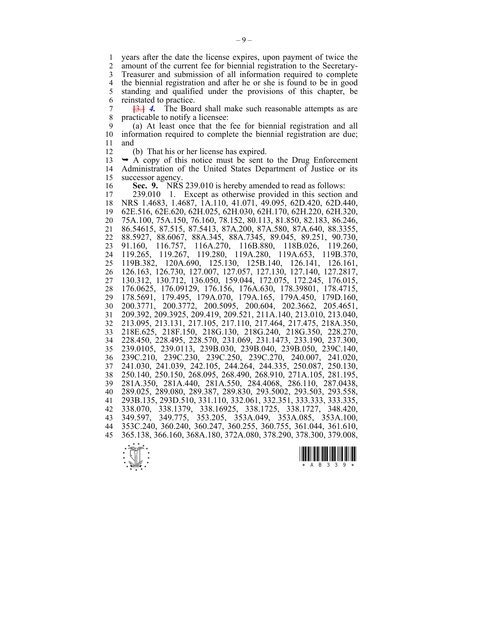1 years after the date the license expires, upon payment of twice the 2 amount of the current fee for biennial registration to the Secretary-2 amount of the current fee for biennial registration to the Secretary-3 Treasurer and submission of all information required to complete 4 the biennial registration and after he or she is found to be in good<br>5 standing and qualified under the provisions of this chapter, be 5 standing and qualified under the provisions of this chapter, be 6 reinstated to practice.

 $7 \frac{[3]}{[3]}$  **4.** The Board shall make such reasonable attempts as are 8 practicable to notify a licensee: practicable to notify a licensee:

9 (a) At least once that the fee for biennial registration and all 10 information required to complete the biennial registration are due; 11 and

12 (b) That his or her license has expired.

 $13 \rightarrow A$  copy of this notice must be sent to the Drug Enforcement 14 Administration of the United States Department of Justice or its 15 successor agency.

16 **Sec. 9.** NRS 239.010 is hereby amended to read as follows:

17 239.010 1. Except as otherwise provided in this section and 18 NRS 1.4683, 1.4687, 1A.110, 41.071, 49.095, 62D.420, 62D.440, 19 62E.516, 62E.620, 62H.025, 62H.030, 62H.170, 62H.220, 62H.320, 20 75A.100, 75A.150, 76.160, 78.152, 80.113, 81.850, 82.183, 86.246, 21 86.54615, 87.515, 87.5413, 87A.200, 87A.580, 87A.640, 88.3355, 22 88.5927, 88.6067, 88A.345, 88A.7345, 89.045, 89.251, 90.730, 23 91.160, 116.757, 116A.270, 116B.880, 118B.026, 119.260, 24 119.265, 119.267, 119.280, 119A.280, 119A.653, 119B.370, 25 119B.382, 120A.690, 125.130, 125B.140, 126.141, 126.161, 26 126.163, 126.730, 127.007, 127.057, 127.130, 127.140, 127.2817, 27 130.312, 130.712, 136.050, 159.044, 172.075, 172.245, 176.015, 28 176.0625, 176.09129, 176.156, 176A.630, 178.39801, 178.4715, 29 178.5691, 179.495, 179A.070, 179A.165, 179A.450, 179D.160, 30 200.3771, 200.3772, 200.5095, 200.604, 202.3662, 205.4651, 31 209.392, 209.3925, 209.419, 209.521, 211A.140, 213.010, 213.040, 32 213.095, 213.131, 217.105, 217.110, 217.464, 217.475, 218A.350, 33 218E.625, 218F.150, 218G.130, 218G.240, 218G.350, 228.270, 34 228.450, 228.495, 228.570, 231.069, 231.1473, 233.190, 237.300, 35 239.0105, 239.0113, 239B.030, 239B.040, 239B.050, 239C.140, 36 239C.210, 239C.230, 239C.250, 239C.270, 240.007, 241.020, 37 241.030, 241.039, 242.105, 244.264, 244.335, 250.087, 250.130, 38 250.140, 250.150, 268.095, 268.490, 268.910, 271A.105, 281.195, 39 281A.350, 281A.440, 281A.550, 284.4068, 286.110, 287.0438, 40 289.025, 289.080, 289.387, 289.830, 293.5002, 293.503, 293.558, 41 293B.135, 293D.510, 331.110, 332.061, 332.351, 333.333, 333.335, 42 338.070, 338.1379, 338.16925, 338.1725, 338.1727, 348.420, 43 349.597, 349.775, 353.205, 353A.049, 353A.085, 353A.100, 44 353C.240, 360.240, 360.247, 360.255, 360.755, 361.044, 361.610, 45 365.138, 366.160, 368A.180, 372A.080, 378.290, 378.300, 379.008,





 $-9-$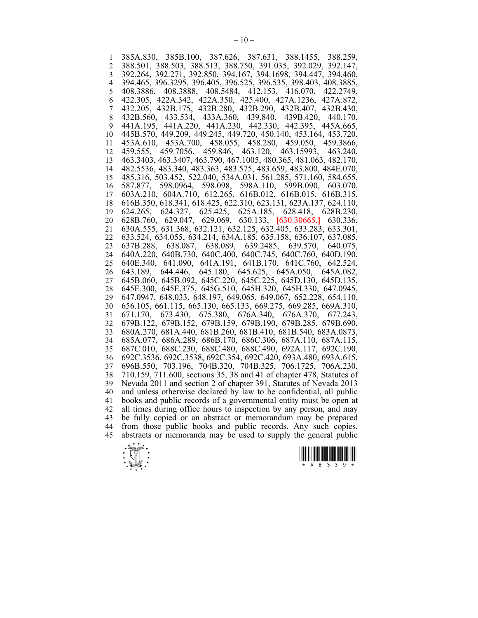1 385A.830, 385B.100, 387.626, 387.631, 388.1455, 388.259, 2 388.501, 388.503, 388.513, 388.750, 391.035, 392.029, 392.147, 3 392.264, 392.271, 392.850, 394.167, 394.1698, 394.447, 394.460, 4 394.465, 396.3295, 396.405, 396.525, 396.535, 398.403, 408.3885, 5 408.3886, 408.3888, 408.5484, 412.153, 416.070, 422.2749, 6 422.305, 422A.342, 422A.350, 425.400, 427A.1236, 427A.872, 7 432.205, 432B.175, 432B.280, 432B.290, 432B.407, 432B.430, 8 432B.560, 433.534, 433A.360, 439.840, 439B.420, 440.170, 9 441A.195, 441A.220, 441A.230, 442.330, 442.395, 445A.665, 10 445B.570, 449.209, 449.245, 449.720, 450.140, 453.164, 453.720, 11 453A.610, 453A.700, 458.055, 458.280, 459.050, 459.3866, 12 459.555, 459.7056, 459.846, 463.120, 463.15993, 463.240, 13 463.3403, 463.3407, 463.790, 467.1005, 480.365, 481.063, 482.170, 14 482.5536, 483.340, 483.363, 483.575, 483.659, 483.800, 484E.070, 15 485.316, 503.452, 522.040, 534A.031, 561.285, 571.160, 584.655, 16 587.877, 598.0964, 598.098, 598A.110, 599B.090, 603.070, 17 603A.210, 604A.710, 612.265, 616B.012, 616B.015, 616B.315, 18 616B.350, 618.341, 618.425, 622.310, 623.131, 623A.137, 624.110, 19 624.265, 624.327, 625.425, 625A.185, 628.418, 628B.230, 20 628B.760, 629.047, 629.069, 630.133, **[**630.30665,**]** 630.336, 21 630A.555, 631.368, 632.121, 632.125, 632.405, 633.283, 633.301, 22 633.524, 634.055, 634.214, 634A.185, 635.158, 636.107, 637.085, 23 637B.288, 638.087, 638.089, 639.2485, 639.570, 640.075, 24 640A.220, 640B.730, 640C.400, 640C.745, 640C.760, 640D.190, 25 640E.340, 641.090, 641A.191, 641B.170, 641C.760, 642.524, 26 643.189, 644.446, 645.180, 645.625, 645A.050, 645A.082, 27 645B.060, 645B.092, 645C.220, 645C.225, 645D.130, 645D.135, 28 645E.300, 645E.375, 645G.510, 645H.320, 645H.330, 647.0945, 29 647.0947, 648.033, 648.197, 649.065, 649.067, 652.228, 654.110, 30 656.105, 661.115, 665.130, 665.133, 669.275, 669.285, 669A.310, 31 671.170, 673.430, 675.380, 676A.340, 676A.370, 677.243, 32 679B.122, 679B.152, 679B.159, 679B.190, 679B.285, 679B.690, 33 680A.270, 681A.440, 681B.260, 681B.410, 681B.540, 683A.0873, 34 685A.077, 686A.289, 686B.170, 686C.306, 687A.110, 687A.115, 35 687C.010, 688C.230, 688C.480, 688C.490, 692A.117, 692C.190, 36 692C.3536, 692C.3538, 692C.354, 692C.420, 693A.480, 693A.615, 37 696B.550, 703.196, 704B.320, 704B.325, 706.1725, 706A.230, 38 710.159, 711.600, sections 35, 38 and 41 of chapter 478, Statutes of 39 Nevada 2011 and section 2 of chapter 391, Statutes of Nevada 2013 40 and unless otherwise declared by law to be confidential, all public 41 books and public records of a governmental entity must be open at 42 all times during office hours to inspection by any person, and may 43 be fully copied or an abstract or memorandum may be prepared 44 from those public books and public records. Any such copies, 45 abstracts or memoranda may be used to supply the general public



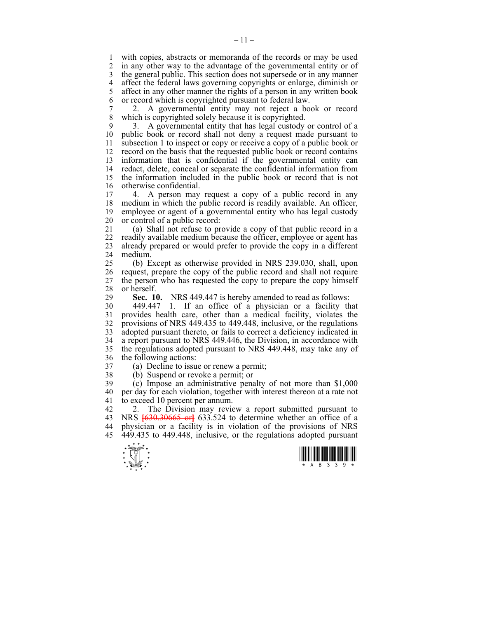1 with copies, abstracts or memoranda of the records or may be used<br>2 in any other way to the advantage of the governmental entity or of in any other way to the advantage of the governmental entity or of 3 the general public. This section does not supersede or in any manner 4 affect the federal laws governing copyrights or enlarge, diminish or 5 affect in any other manner the rights of a person in any written book affect in any other manner the rights of a person in any written book 6 or record which is copyrighted pursuant to federal law.

7 2. A governmental entity may not reject a book or record 8 which is copyrighted solely because it is copyrighted.

9 3. A governmental entity that has legal custody or control of a 10 public book or record shall not deny a request made pursuant to 11 subsection 1 to inspect or copy or receive a copy of a public book or 12 record on the basis that the requested public book or record contains 13 information that is confidential if the governmental entity can 14 redact, delete, conceal or separate the confidential information from 15 the information included in the public book or record that is not 16 otherwise confidential.<br>17 4 A person may

4. A person may request a copy of a public record in any 18 medium in which the public record is readily available. An officer, 19 employee or agent of a governmental entity who has legal custody 20 or control of a public record:

21 (a) Shall not refuse to provide a copy of that public record in a 22 readily available medium because the officer, employee or agent has 23 already prepared or would prefer to provide the copy in a different 24 medium.

25 (b) Except as otherwise provided in NRS 239.030, shall, upon 26 request, prepare the copy of the public record and shall not require 27 the person who has requested the copy to prepare the copy himself 28 or herself.<br>29 **Sec. 1** 

Sec. 10. NRS 449.447 is hereby amended to read as follows:

30 449.447 1. If an office of a physician or a facility that 31 provides health care, other than a medical facility, violates the 32 provisions of NRS 449.435 to 449.448, inclusive, or the regulations 33 adopted pursuant thereto, or fails to correct a deficiency indicated in 34 a report pursuant to NRS 449.446, the Division, in accordance with 35 the regulations adopted pursuant to NRS 449.448, may take any of 36 the following actions:

- 37 (a) Decline to issue or renew a permit;
- 38 (b) Suspend or revoke a permit; or

39 (c) Impose an administrative penalty of not more than \$1,000 40 per day for each violation, together with interest thereon at a rate not 41 to exceed 10 percent per annum.

42 2. The Division may review a report submitted pursuant to 43 NRS **[**630.30665 or**]** 633.524 to determine whether an office of a 44 physician or a facility is in violation of the provisions of NRS 45 449.435 to 449.448, inclusive, or the regulations adopted pursuant



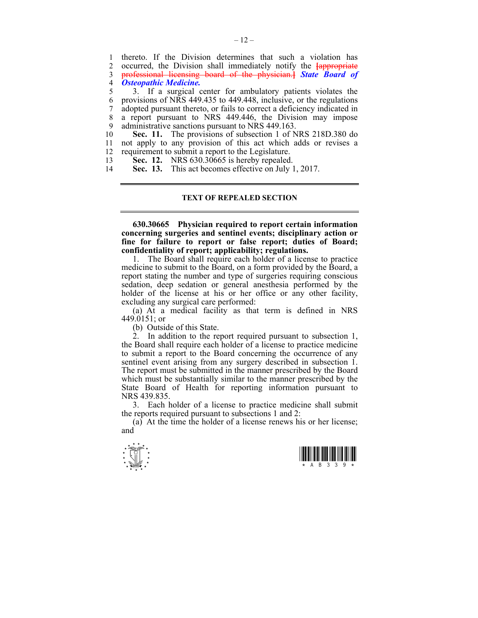1 thereto. If the Division determines that such a violation has<br>2 occurred the Division shall immediately notify the lappropriate 2 occurred, the Division shall immediately notify the **[**appropriate 3 professional licensing board of the physician.**]** *State Board of*  4 *Osteopathic Medicine.* 5 3. If a surgical center for ambulatory patients violates the 6 provisions of NRS 449.435 to 449.448, inclusive, or the regulations 7 adopted pursuant thereto, or fails to correct a deficiency indicated in

8 a report pursuant to NRS 449.446, the Division may impose 9 administrative sanctions pursuant to NRS 449.163.

10 **Sec. 11.** The provisions of subsection 1 of NRS 218D.380 do 11 not apply to any provision of this act which adds or revises a 12 requirement to submit a report to the Legislature.

13 **Sec. 12.** NRS 630.30665 is hereby repealed.

14 **Sec. 13.** This act becomes effective on July 1, 2017.

### **TEXT OF REPEALED SECTION**

**630.30665 Physician required to report certain information concerning surgeries and sentinel events; disciplinary action or fine for failure to report or false report; duties of Board; confidentiality of report; applicability; regulations.** 

 1. The Board shall require each holder of a license to practice medicine to submit to the Board, on a form provided by the Board, a report stating the number and type of surgeries requiring conscious sedation, deep sedation or general anesthesia performed by the holder of the license at his or her office or any other facility, excluding any surgical care performed:

 (a) At a medical facility as that term is defined in NRS 449.0151; or

(b) Outside of this State.

 2. In addition to the report required pursuant to subsection 1, the Board shall require each holder of a license to practice medicine to submit a report to the Board concerning the occurrence of any sentinel event arising from any surgery described in subsection 1. The report must be submitted in the manner prescribed by the Board which must be substantially similar to the manner prescribed by the State Board of Health for reporting information pursuant to NRS 439.835.

 3. Each holder of a license to practice medicine shall submit the reports required pursuant to subsections 1 and 2:

 (a) At the time the holder of a license renews his or her license; and



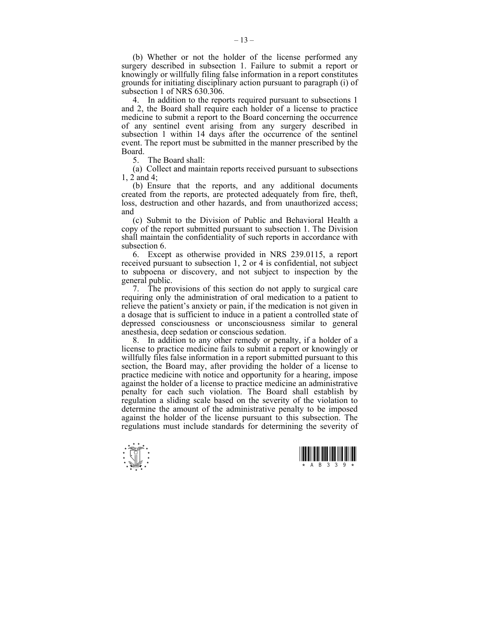(b) Whether or not the holder of the license performed any surgery described in subsection 1. Failure to submit a report or knowingly or willfully filing false information in a report constitutes grounds for initiating disciplinary action pursuant to paragraph (i) of subsection 1 of NRS 630.306.

 4. In addition to the reports required pursuant to subsections 1 and 2, the Board shall require each holder of a license to practice medicine to submit a report to the Board concerning the occurrence of any sentinel event arising from any surgery described in subsection 1 within 14 days after the occurrence of the sentinel event. The report must be submitted in the manner prescribed by the Board.

5. The Board shall:

 (a) Collect and maintain reports received pursuant to subsections 1, 2 and 4;

 (b) Ensure that the reports, and any additional documents created from the reports, are protected adequately from fire, theft, loss, destruction and other hazards, and from unauthorized access; and

 (c) Submit to the Division of Public and Behavioral Health a copy of the report submitted pursuant to subsection 1. The Division shall maintain the confidentiality of such reports in accordance with subsection 6.

 6. Except as otherwise provided in NRS 239.0115, a report received pursuant to subsection 1, 2 or 4 is confidential, not subject to subpoena or discovery, and not subject to inspection by the general public.

 7. The provisions of this section do not apply to surgical care requiring only the administration of oral medication to a patient to relieve the patient's anxiety or pain, if the medication is not given in a dosage that is sufficient to induce in a patient a controlled state of depressed consciousness or unconsciousness similar to general anesthesia, deep sedation or conscious sedation.

 8. In addition to any other remedy or penalty, if a holder of a license to practice medicine fails to submit a report or knowingly or willfully files false information in a report submitted pursuant to this section, the Board may, after providing the holder of a license to practice medicine with notice and opportunity for a hearing, impose against the holder of a license to practice medicine an administrative penalty for each such violation. The Board shall establish by regulation a sliding scale based on the severity of the violation to determine the amount of the administrative penalty to be imposed against the holder of the license pursuant to this subsection. The regulations must include standards for determining the severity of